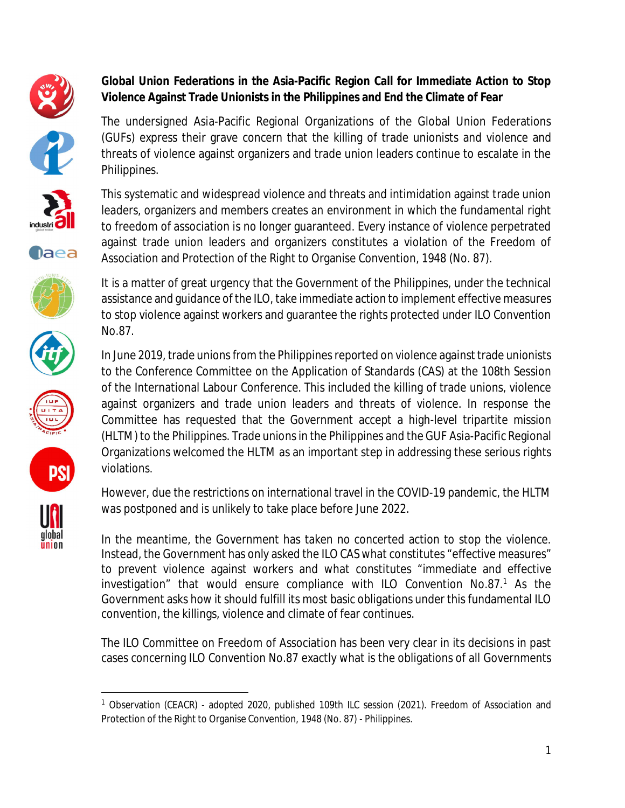















global union **Global Union Federations in the Asia-Pacific Region Call for Immediate Action to Stop Violence Against Trade Unionists in the Philippines and End the Climate of Fear**

The undersigned Asia-Pacific Regional Organizations of the Global Union Federations (GUFs) express their grave concern that the killing of trade unionists and violence and threats of violence against organizers and trade union leaders continue to escalate in the Philippines.

This systematic and widespread violence and threats and intimidation against trade union leaders, organizers and members creates an environment in which the fundamental right to freedom of association is no longer guaranteed. Every instance of violence perpetrated against trade union leaders and organizers constitutes a violation of the Freedom of Association and Protection of the Right to Organise Convention, 1948 (No. 87).

It is a matter of great urgency that the Government of the Philippines, under the technical assistance and guidance of the ILO, take immediate action to implement effective measures to stop violence against workers and guarantee the rights protected under ILO Convention No.87.

In June 2019, trade unions from the Philippines reported on violence against trade unionists to the Conference Committee on the Application of Standards (CAS) at the 108th Session of the International Labour Conference. This included the killing of trade unions, violence against organizers and trade union leaders and threats of violence. In response the Committee has requested that the Government accept a high-level tripartite mission (HLTM) to the Philippines. Trade unions in the Philippines and the GUF Asia-Pacific Regional Organizations welcomed the HLTM as an important step in addressing these serious rights violations.

However, due the restrictions on international travel in the COVID-19 pandemic, the HLTM was postponed and is unlikely to take place before June 2022.

In the meantime, the Government has taken no concerted action to stop the violence. Instead, the Government has only asked the ILO CAS what constitutes "effective measures" to prevent violence against workers and what constitutes "immediate and effective investigation" that would ensure compliance with ILO Convention No.87.<sup>1</sup> As the Government asks how it should fulfill its most basic obligations under this fundamental ILO convention, the killings, violence and climate of fear continues.

The ILO Committee on Freedom of Association has been very clear in its decisions in past cases concerning ILO Convention No.87 exactly what is the obligations of all Governments

<sup>&</sup>lt;sup>1</sup> Observation (CEACR) - adopted 2020, published 109th ILC session (2021). Freedom of Association and Protection of the Right to Organise Convention, 1948 (No. 87) - Philippines.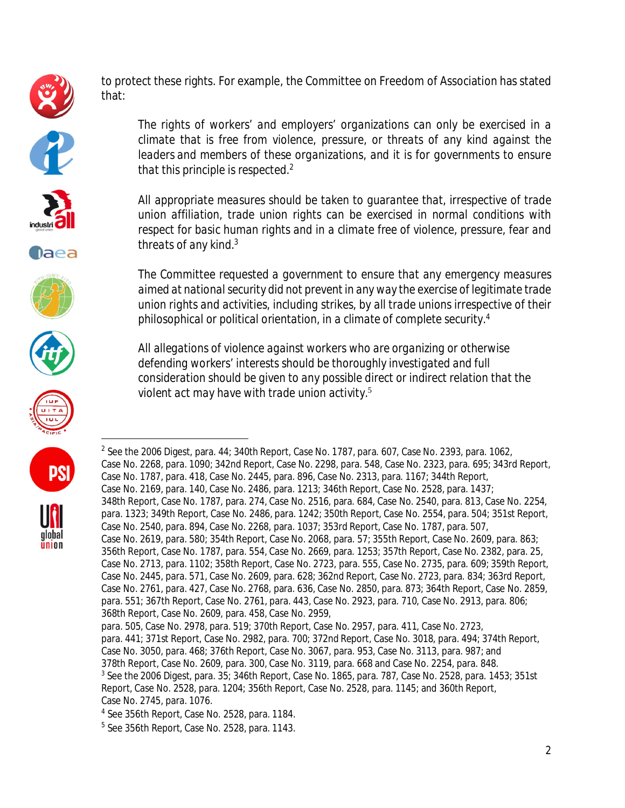

to protect these rights. For example, the Committee on Freedom of Association has stated that:





**Daea** 







**PS** 

global union *climate that is free from violence, pressure, or threats of any kind against the leaders and members of these organizations, and it is for governments to ensure that this principle is respected.<sup>2</sup>*

*The rights of workers' and employers' organizations can only be exercised in a*

*All appropriate measures should be taken to guarantee that, irrespective of trade union affiliation, trade union rights can be exercised in normal conditions with respect for basic human rights and in a climate free of violence, pressure, fear and threats of any kind.<sup>3</sup>*

*The Committee requested a government to ensure that any emergency measures aimed at national security did not prevent in any way the exercise of legitimate trade union rights and activities, including strikes, by all trade unions irrespective of their philosophical or political orientation, in a climate of complete security.<sup>4</sup>*

*All allegations of violence against workers who are organizing or otherwise defending workers' interests should be thoroughly investigated and full consideration should be given to any possible direct or indirect relation that the violent act may have with trade union activity.*<sup>5</sup>

 $^2$  See the 2006 Digest, para. 44; 340th Report, Case No. 1787, para. 607, Case No. 2393, para. 1062, Case No. 2268, para. 1090; 342nd Report, Case No. 2298, para. 548, Case No. 2323, para. 695; 343rd Report, Case No. 1787, para. 418, Case No. 2445, para. 896, Case No. 2313, para. 1167; 344th Report, Case No. 2169, para. 140, Case No. 2486, para. 1213; 346th Report, Case No. 2528, para. 1437; 348th Report, Case No. 1787, para. 274, Case No. 2516, para. 684, Case No. 2540, para. 813, Case No. 2254, para. 1323; 349th Report, Case No. 2486, para. 1242; 350th Report, Case No. 2554, para. 504; 351st Report, Case No. 2540, para. 894, Case No. 2268, para. 1037; 353rd Report, Case No. 1787, para. 507, Case No. 2619, para. 580; 354th Report, Case No. 2068, para. 57; 355th Report, Case No. 2609, para. 863; 356th Report, Case No. 1787, para. 554, Case No. 2669, para. 1253; 357th Report, Case No. 2382, para. 25, Case No. 2713, para. 1102; 358th Report, Case No. 2723, para. 555, Case No. 2735, para. 609; 359th Report, Case No. 2445, para. 571, Case No. 2609, para. 628; 362nd Report, Case No. 2723, para. 834; 363rd Report, Case No. 2761, para. 427, Case No. 2768, para. 636, Case No. 2850, para. 873; 364th Report, Case No. 2859, para. 551; 367th Report, Case No. 2761, para. 443, Case No. 2923, para. 710, Case No. 2913, para. 806; 368th Report, Case No. 2609, para. 458, Case No. 2959, para. 505, Case No. 2978, para. 519; 370th Report, Case No. 2957, para. 411, Case No. 2723,

para. 441; 371st Report, Case No. 2982, para. 700; 372nd Report, Case No. 3018, para. 494; 374th Report, Case No. 3050, para. 468; 376th Report, Case No. 3067, para. 953, Case No. 3113, para. 987; and 378th Report, Case No. 2609, para. 300, Case No. 3119, para. 668 and Case No. 2254, para. 848.  $^{\rm 3}$  See the 2006 Digest, para. 35; 346th Report, Case No. 1865, para. 787, Case No. 2528, para. 1453; 351st Report, Case No. 2528, para. 1204; 356th Report, Case No. 2528, para. 1145; and 360th Report, Case No. 2745, para. 1076.

<sup>4</sup> See 356th Report, Case No. 2528, para. 1184.

<sup>5</sup> See 356th Report, Case No. 2528, para. 1143.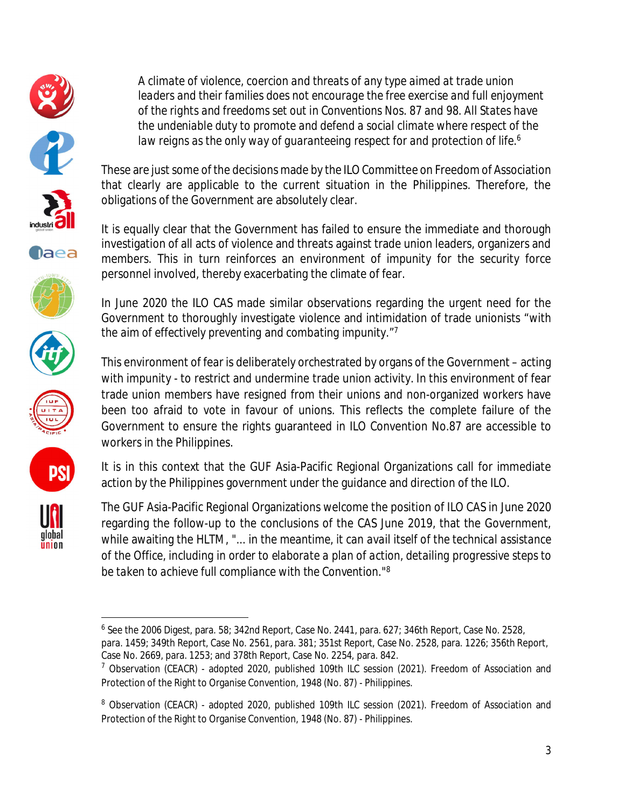

















*A climate of violence, coercion and threats of any type aimed at trade union leaders and their families does not encourage the free exercise and full enjoyment of the rights and freedoms set out in Conventions Nos. 87 and 98. All States have the undeniable duty to promote and defend a social climate where respect of the law reigns as the only way of guaranteeing respect for and protection of life.<sup>6</sup>*

These are just some of the decisions made by the ILO Committee on Freedom of Association that clearly are applicable to the current situation in the Philippines. Therefore, the obligations of the Government are absolutely clear.

It is equally clear that the Government has failed to ensure the immediate and thorough investigation of all acts of violence and threats against trade union leaders, organizers and members. This in turn reinforces an environment of impunity for the security force personnel involved, thereby exacerbating the climate of fear.

In June 2020 the ILO CAS made similar observations regarding the urgent need for the Government to thoroughly investigate violence and intimidation of trade unionists "*with the aim of effectively preventing and combating impunity*."<sup>7</sup>

This environment of fear is deliberately orchestrated by organs of the Government – acting with impunity - to restrict and undermine trade union activity. In this environment of fear trade union members have resigned from their unions and non-organized workers have been too afraid to vote in favour of unions. This reflects the complete failure of the Government to ensure the rights guaranteed in ILO Convention No.87 are accessible to workers in the Philippines.

It is in this context that the GUF Asia-Pacific Regional Organizations call for immediate action by the Philippines government under the guidance and direction of the ILO.

The GUF Asia-Pacific Regional Organizations welcome the position of ILO CAS in June 2020 regarding the follow-up to the conclusions of the CAS June 2019, that the Government, while awaiting the HLTM, *"... in the meantime, it can avail itself of the technical assistance of the Office, including in order to elaborate a plan of action, detailing progressive steps to be taken to achieve full compliance with the Convention.*" 8

 $^6$  See the 2006 Digest, para. 58; 342nd Report, Case No. 2441, para. 627; 346th Report, Case No. 2528, para. 1459; 349th Report, Case No. 2561, para. 381; 351st Report, Case No. 2528, para. 1226; 356th Report, Case No. 2669, para. 1253; and 378th Report, Case No. 2254, para. 842.

 $7$  Observation (CEACR) - adopted 2020, published 109th ILC session (2021). Freedom of Association and Protection of the Right to Organise Convention, 1948 (No. 87) - Philippines.

<sup>&</sup>lt;sup>8</sup> Observation (CEACR) - adopted 2020, published 109th ILC session (2021). Freedom of Association and Protection of the Right to Organise Convention, 1948 (No. 87) - Philippines.